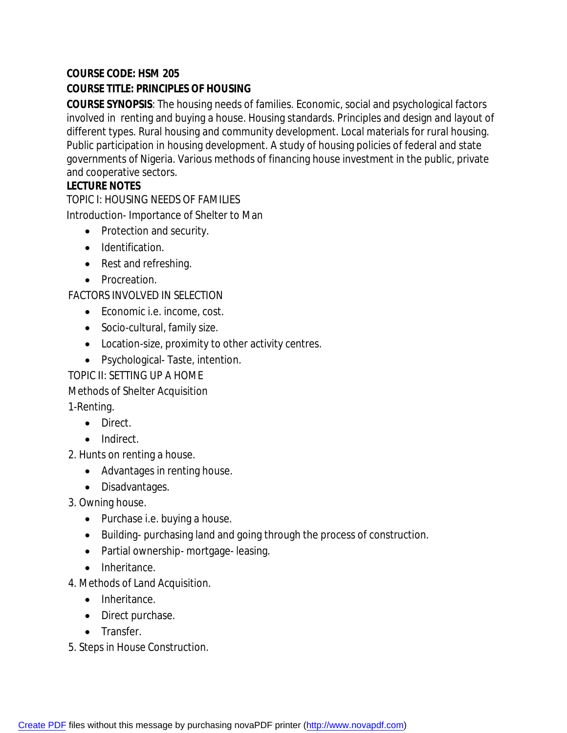## **COURSE CODE: HSM 205**

## **COURSE TITLE: PRINCIPLES OF HOUSING**

**COURSE SYNOPSIS**: The housing needs of families. Economic, social and psychological factors involved in renting and buying a house. Housing standards. Principles and design and layout of different types. Rural housing and community development. Local materials for rural housing. Public participation in housing development. A study of housing policies of federal and state governments of Nigeria. Various methods of financing house investment in the public, private and cooperative sectors.

## **LECTURE NOTES**

TOPIC I: HOUSING NEEDS OF FAMILIES

Introduction- Importance of Shelter to Man

- Protection and security.
- Identification.
- Rest and refreshing.
- Procreation.

FACTORS INVOLVED IN SELECTION

- Economic i.e. income, cost.
- Socio-cultural, family size.
- Location-size, proximity to other activity centres.
- Psychological-Taste, intention.

TOPIC II: SETTING UP A HOME

Methods of Shelter Acquisition

1-Renting.

- Direct.
- Indirect.

2. Hunts on renting a house.

- Advantages in renting house.
- Disadvantages.

3. Owning house.

- Purchase i.e. buying a house.
- Building- purchasing land and going through the process of construction.
- Partial ownership- mortgage- leasing.
- Inheritance.

4. Methods of Land Acquisition.

- Inheritance.
- Direct purchase.
- Transfer.

5. Steps in House Construction.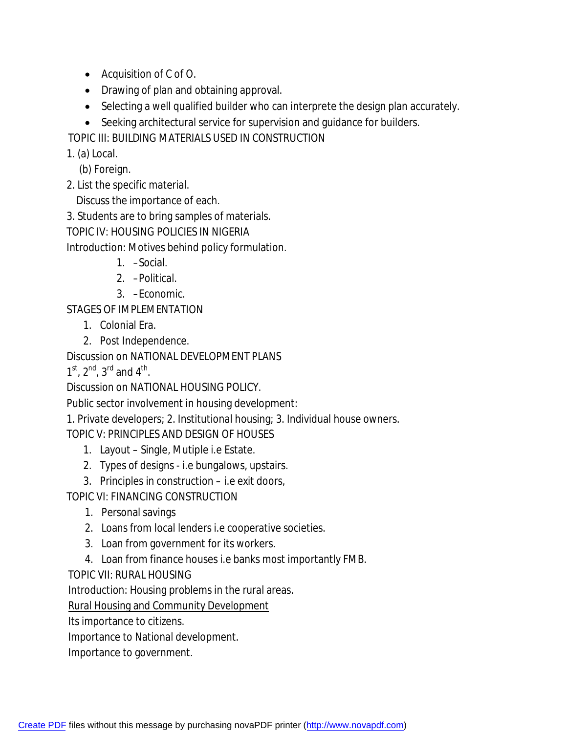- Acquisition of C of O.
- Drawing of plan and obtaining approval.
- Selecting a well qualified builder who can interprete the design plan accurately.
- Seeking architectural service for supervision and quidance for builders.

TOPIC III: BUILDING MATERIALS USED IN CONSTRUCTION

1. (a) Local.

(b) Foreign.

2. List the specific material.

Discuss the importance of each.

3. Students are to bring samples of materials.

TOPIC IV: HOUSING POLICIES IN NIGERIA

Introduction: Motives behind policy formulation.

- 1. –Social.
- 2. –Political.
- 3. –Economic.

STAGES OF IMPLEMENTATION

- 1. Colonial Era.
- 2. Post Independence.

Discussion on NATIONAL DEVELOPMENT PLANS

 $1^{st}$ ,  $2^{nd}$ ,  $3^{rd}$  and  $4^{th}$ .

Discussion on NATIONAL HOUSING POLICY.

Public sector involvement in housing development:

1. Private developers; 2. Institutional housing; 3. Individual house owners.

TOPIC V: PRINCIPLES AND DESIGN OF HOUSES

- 1. Layout Single, Mutiple i.e Estate.
- 2. Types of designs i.e bungalows, upstairs.
- 3. Principles in construction i.e exit doors,

TOPIC VI: FINANCING CONSTRUCTION

- 1. Personal savings
- 2. Loans from local lenders i.e cooperative societies.
- 3. Loan from government for its workers.
- 4. Loan from finance houses i.e banks most importantly FMB.

TOPIC VII: RURAL HOUSING

Introduction: Housing problems in the rural areas.

Rural Housing and Community Development

Its importance to citizens.

Importance to National development.

Importance to government.